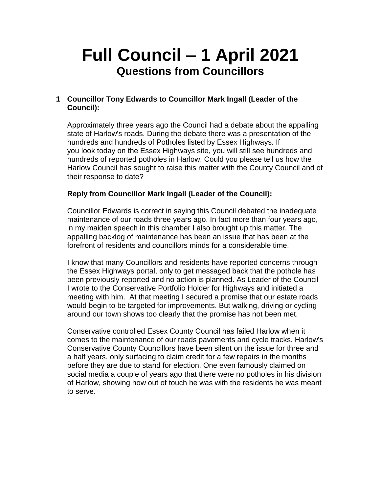# **Full Council – 1 April 2021 Questions from Councillors**

# **1 Councillor Tony Edwards to Councillor Mark Ingall (Leader of the Council):**

Approximately three years ago the Council had a debate about the appalling state of Harlow's roads. During the debate there was a presentation of the hundreds and hundreds of Potholes listed by Essex Highways. If you look today on the Essex Highways site, you will still see hundreds and hundreds of reported potholes in Harlow. Could you please tell us how the Harlow Council has sought to raise this matter with the County Council and of their response to date?

# **Reply from Councillor Mark Ingall (Leader of the Council):**

Councillor Edwards is correct in saying this Council debated the inadequate maintenance of our roads three years ago. In fact more than four years ago, in my maiden speech in this chamber I also brought up this matter. The appalling backlog of maintenance has been an issue that has been at the forefront of residents and councillors minds for a considerable time.

I know that many Councillors and residents have reported concerns through the Essex Highways portal, only to get messaged back that the pothole has been previously reported and no action is planned. As Leader of the Council I wrote to the Conservative Portfolio Holder for Highways and initiated a meeting with him. At that meeting I secured a promise that our estate roads would begin to be targeted for improvements. But walking, driving or cycling around our town shows too clearly that the promise has not been met.

Conservative controlled Essex County Council has failed Harlow when it comes to the maintenance of our roads pavements and cycle tracks. Harlow's Conservative County Councillors have been silent on the issue for three and a half years, only surfacing to claim credit for a few repairs in the months before they are due to stand for election. One even famously claimed on social media a couple of years ago that there were no potholes in his division of Harlow, showing how out of touch he was with the residents he was meant to serve.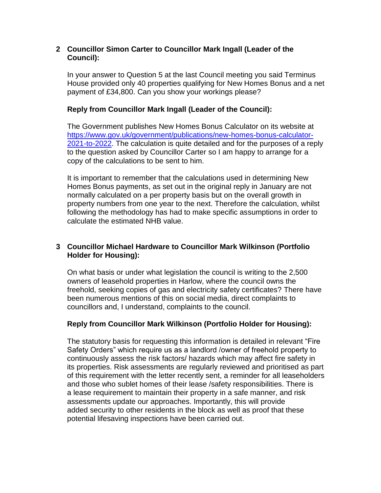## **2 Councillor Simon Carter to Councillor Mark Ingall (Leader of the Council):**

In your answer to Question 5 at the last Council meeting you said Terminus House provided only 40 properties qualifying for New Homes Bonus and a net payment of £34,800. Can you show your workings please?

# **Reply from Councillor Mark Ingall (Leader of the Council):**

The Government publishes New Homes Bonus Calculator on its website at [https://www.gov.uk/government/publications/new-homes-bonus-calculator-](https://www.gov.uk/government/publications/new-homes-bonus-calculator-2021-to-2022)[2021-to-2022.](https://www.gov.uk/government/publications/new-homes-bonus-calculator-2021-to-2022) The calculation is quite detailed and for the purposes of a reply to the question asked by Councillor Carter so I am happy to arrange for a copy of the calculations to be sent to him.

It is important to remember that the calculations used in determining New Homes Bonus payments, as set out in the original reply in January are not normally calculated on a per property basis but on the overall growth in property numbers from one year to the next. Therefore the calculation, whilst following the methodology has had to make specific assumptions in order to calculate the estimated NHB value.

# **3 Councillor Michael Hardware to Councillor Mark Wilkinson (Portfolio Holder for Housing):**

On what basis or under what legislation the council is writing to the 2,500 owners of leasehold properties in Harlow, where the council owns the freehold, seeking copies of gas and electricity safety certificates? There have been numerous mentions of this on social media, direct complaints to councillors and, I understand, complaints to the council.

#### **Reply from Councillor Mark Wilkinson (Portfolio Holder for Housing):**

The statutory basis for requesting this information is detailed in relevant "Fire Safety Orders" which require us as a landlord /owner of freehold property to continuously assess the risk factors/ hazards which may affect fire safety in its properties. Risk assessments are regularly reviewed and prioritised as part of this requirement with the letter recently sent, a reminder for all leaseholders and those who sublet homes of their lease /safety responsibilities. There is a lease requirement to maintain their property in a safe manner, and risk assessments update our approaches. Importantly, this will provide added security to other residents in the block as well as proof that these potential lifesaving inspections have been carried out.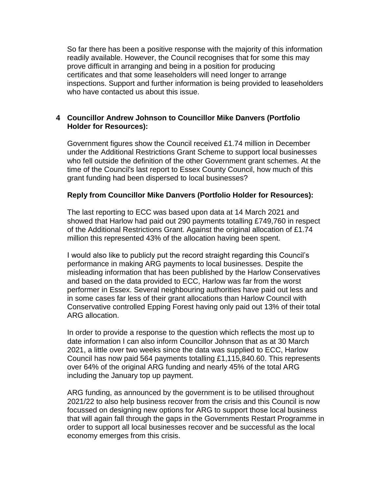So far there has been a positive response with the majority of this information readily available. However, the Council recognises that for some this may prove difficult in arranging and being in a position for producing certificates and that some leaseholders will need longer to arrange inspections. Support and further information is being provided to leaseholders who have contacted us about this issue.

## **4 Councillor Andrew Johnson to Councillor Mike Danvers (Portfolio Holder for Resources):**

Government figures show the Council received £1.74 million in December under the Additional Restrictions Grant Scheme to support local businesses who fell outside the definition of the other Government grant schemes. At the time of the Council's last report to Essex County Council, how much of this grant funding had been dispersed to local businesses?

#### **Reply from Councillor Mike Danvers (Portfolio Holder for Resources):**

The last reporting to ECC was based upon data at 14 March 2021 and showed that Harlow had paid out 290 payments totalling £749,760 in respect of the Additional Restrictions Grant. Against the original allocation of £1.74 million this represented 43% of the allocation having been spent.

I would also like to publicly put the record straight regarding this Council's performance in making ARG payments to local businesses. Despite the misleading information that has been published by the Harlow Conservatives and based on the data provided to ECC, Harlow was far from the worst performer in Essex. Several neighbouring authorities have paid out less and in some cases far less of their grant allocations than Harlow Council with Conservative controlled Epping Forest having only paid out 13% of their total ARG allocation.

In order to provide a response to the question which reflects the most up to date information I can also inform Councillor Johnson that as at 30 March 2021, a little over two weeks since the data was supplied to ECC, Harlow Council has now paid 564 payments totalling £1,115,840.60. This represents over 64% of the original ARG funding and nearly 45% of the total ARG including the January top up payment.

ARG funding, as announced by the government is to be utilised throughout 2021/22 to also help business recover from the crisis and this Council is now focussed on designing new options for ARG to support those local business that will again fall through the gaps in the Governments Restart Programme in order to support all local businesses recover and be successful as the local economy emerges from this crisis.